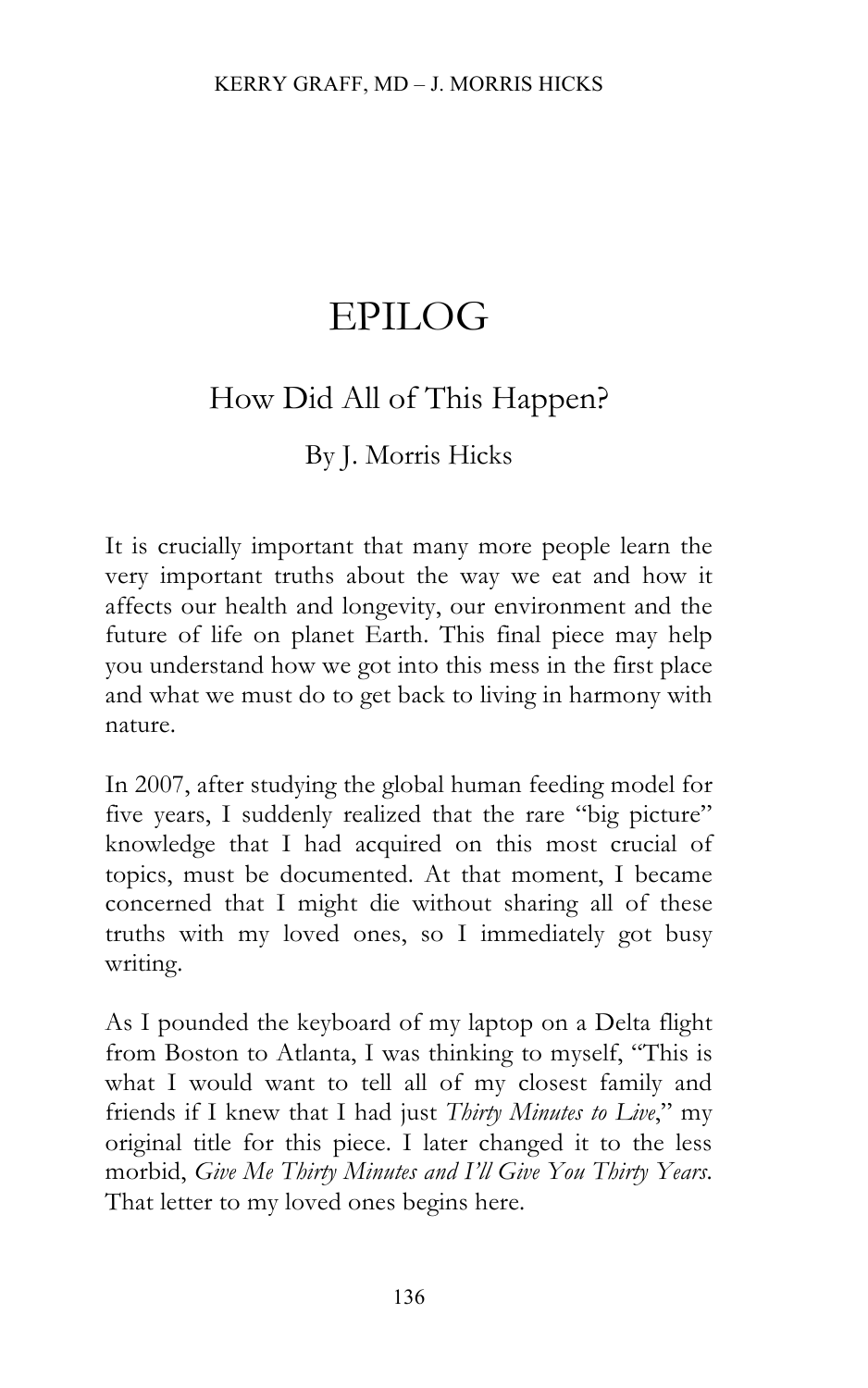# EPILOG

## How Did All of This Happen?

## By J. Morris Hicks

It is crucially important that many more people learn the very important truths about the way we eat and how it affects our health and longevity, our environment and the future of life on planet Earth. This final piece may help you understand how we got into this mess in the first place and what we must do to get back to living in harmony with nature.

In 2007, after studying the global human feeding model for five years, I suddenly realized that the rare "big picture" knowledge that I had acquired on this most crucial of topics, must be documented. At that moment, I became concerned that I might die without sharing all of these truths with my loved ones, so I immediately got busy writing.

As I pounded the keyboard of my laptop on a Delta flight from Boston to Atlanta, I was thinking to myself, "This is what I would want to tell all of my closest family and friends if I knew that I had just *Thirty Minutes to Live*," my original title for this piece. I later changed it to the less morbid, *Give Me Thirty Minutes and I'll Give You Thirty Years*. That letter to my loved ones begins here.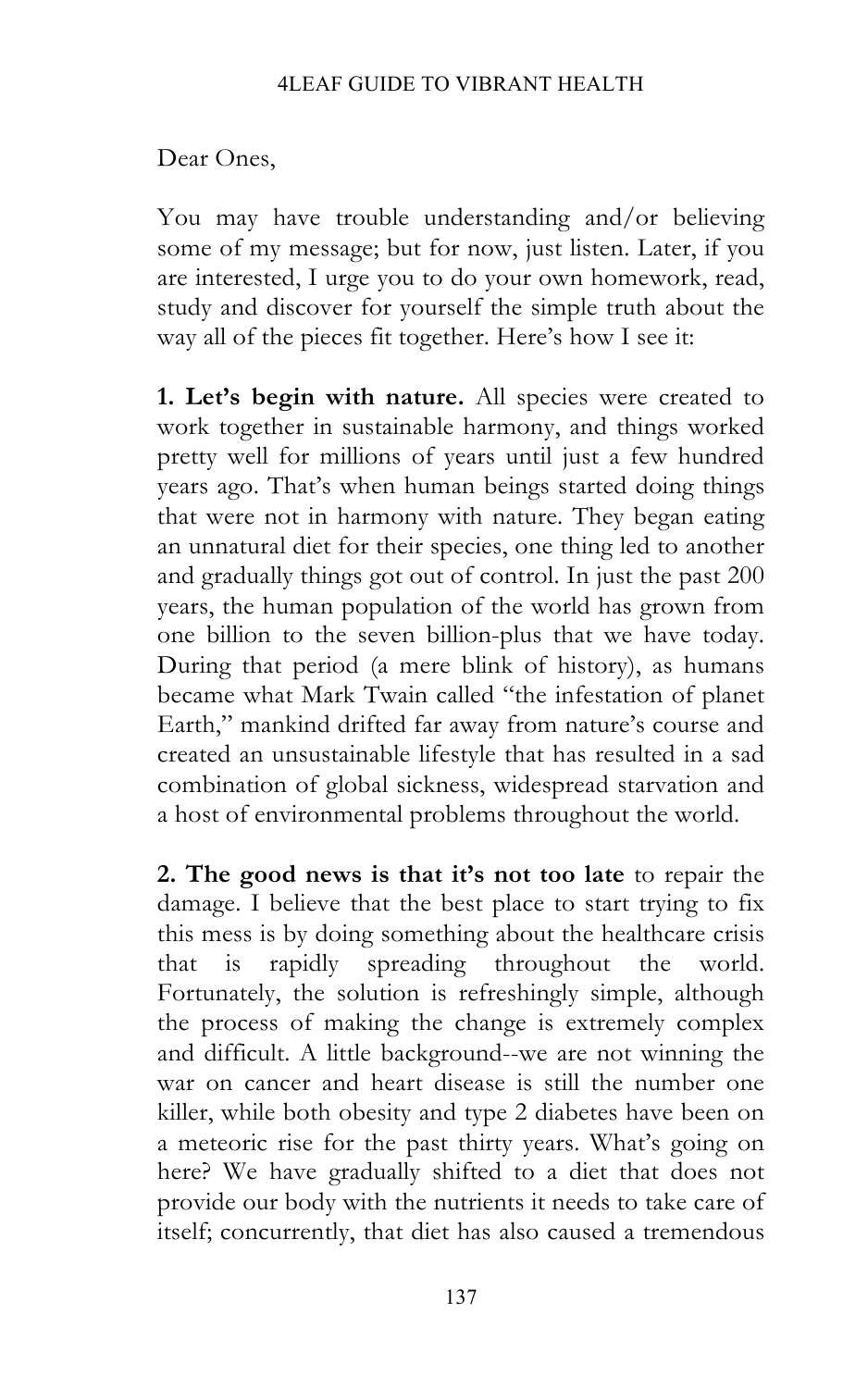Dear Ones,

You may have trouble understanding and/or believing some of my message; but for now, just listen. Later, if you are interested, I urge you to do your own homework, read, study and discover for yourself the simple truth about the way all of the pieces fit together. Here's how I see it:

**1. Let's begin with nature.** All species were created to work together in sustainable harmony, and things worked pretty well for millions of years until just a few hundred years ago. That's when human beings started doing things that were not in harmony with nature. They began eating an unnatural diet for their species, one thing led to another and gradually things got out of control. In just the past 200 years, the human population of the world has grown from one billion to the seven billion-plus that we have today. During that period (a mere blink of history), as humans became what Mark Twain called "the infestation of planet Earth," mankind drifted far away from nature's course and created an unsustainable lifestyle that has resulted in a sad combination of global sickness, widespread starvation and a host of environmental problems throughout the world.

**2. The good news is that it's not too late** to repair the damage. I believe that the best place to start trying to fix this mess is by doing something about the healthcare crisis that is rapidly spreading throughout the world. Fortunately, the solution is refreshingly simple, although the process of making the change is extremely complex and difficult. A little background--we are not winning the war on cancer and heart disease is still the number one killer, while both obesity and type 2 diabetes have been on a meteoric rise for the past thirty years. What's going on here? We have gradually shifted to a diet that does not provide our body with the nutrients it needs to take care of itself; concurrently, that diet has also caused a tremendous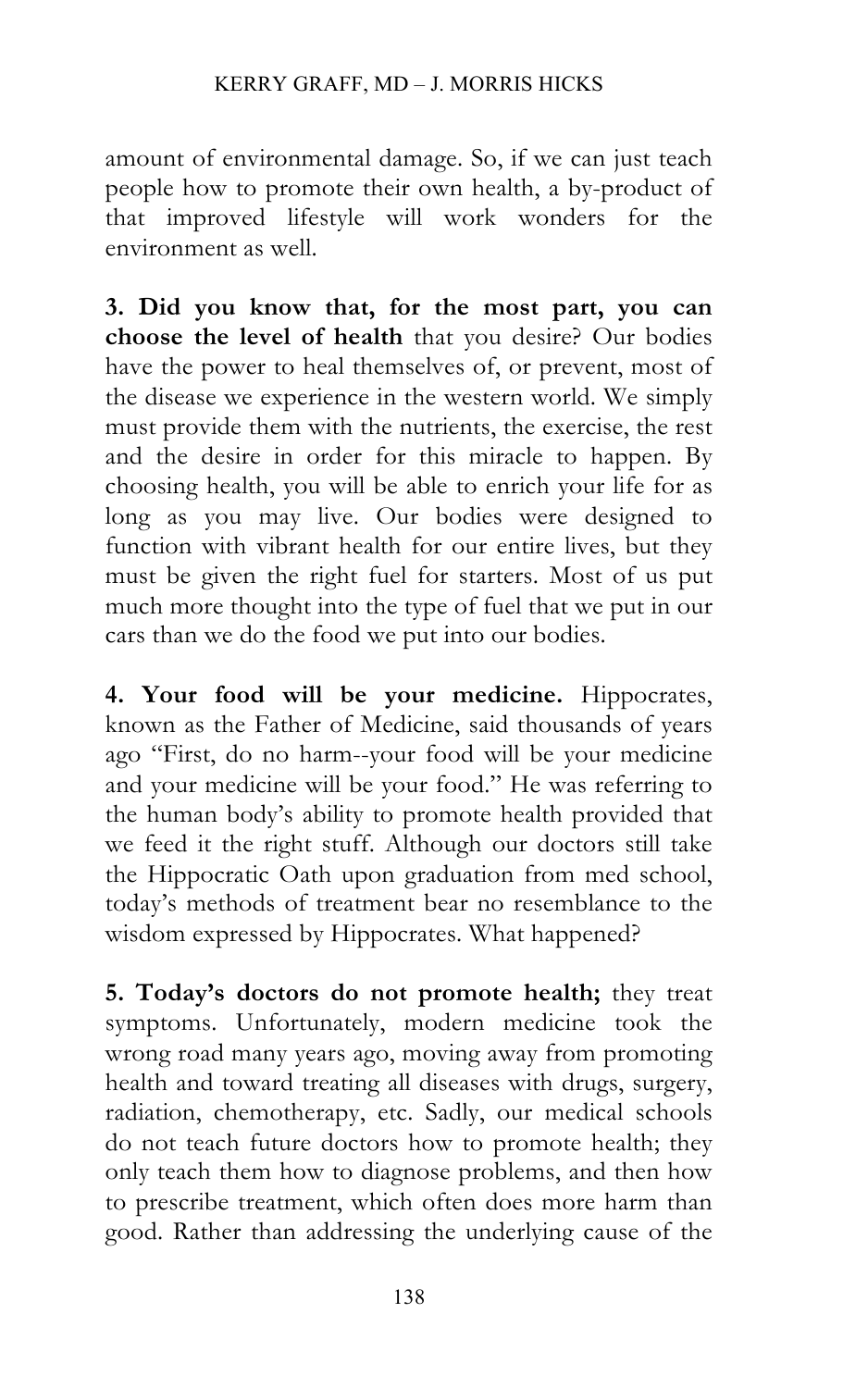amount of environmental damage. So, if we can just teach people how to promote their own health, a by-product of that improved lifestyle will work wonders for the environment as well.

**3. Did you know that, for the most part, you can choose the level of health** that you desire? Our bodies have the power to heal themselves of, or prevent, most of the disease we experience in the western world. We simply must provide them with the nutrients, the exercise, the rest and the desire in order for this miracle to happen. By choosing health, you will be able to enrich your life for as long as you may live. Our bodies were designed to function with vibrant health for our entire lives, but they must be given the right fuel for starters. Most of us put much more thought into the type of fuel that we put in our cars than we do the food we put into our bodies.

**4. Your food will be your medicine.** Hippocrates, known as the Father of Medicine, said thousands of years ago "First, do no harm--your food will be your medicine and your medicine will be your food." He was referring to the human body's ability to promote health provided that we feed it the right stuff. Although our doctors still take the Hippocratic Oath upon graduation from med school, today's methods of treatment bear no resemblance to the wisdom expressed by Hippocrates. What happened?

**5. Today's doctors do not promote health;** they treat symptoms. Unfortunately, modern medicine took the wrong road many years ago, moving away from promoting health and toward treating all diseases with drugs, surgery, radiation, chemotherapy, etc. Sadly, our medical schools do not teach future doctors how to promote health; they only teach them how to diagnose problems, and then how to prescribe treatment, which often does more harm than good. Rather than addressing the underlying cause of the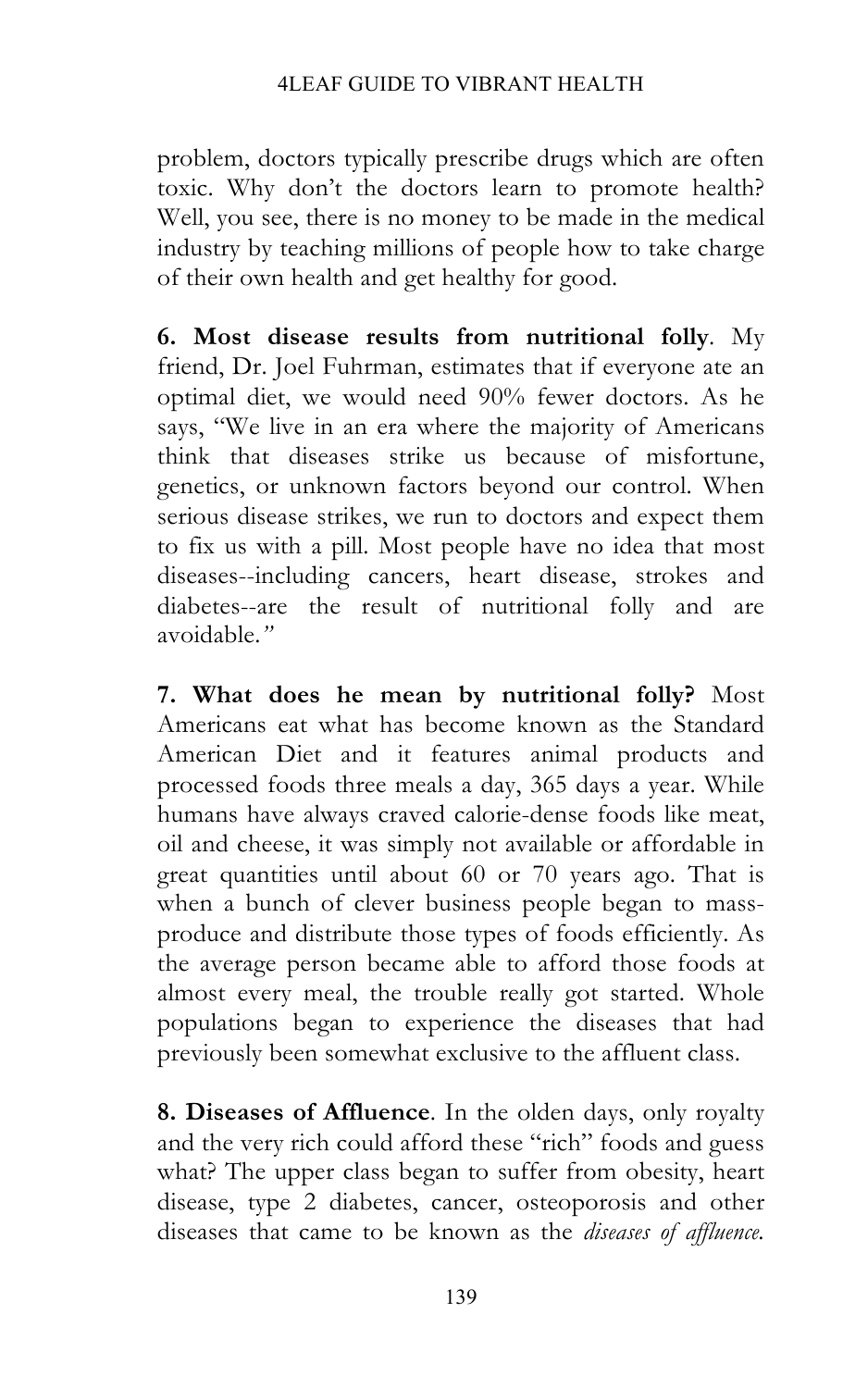problem, doctors typically prescribe drugs which are often toxic. Why don't the doctors learn to promote health? Well, you see, there is no money to be made in the medical industry by teaching millions of people how to take charge of their own health and get healthy for good.

**6. Most disease results from nutritional folly**. My friend, Dr. Joel Fuhrman, estimates that if everyone ate an optimal diet, we would need 90% fewer doctors. As he says, "We live in an era where the majority of Americans think that diseases strike us because of misfortune, genetics, or unknown factors beyond our control. When serious disease strikes, we run to doctors and expect them to fix us with a pill. Most people have no idea that most diseases--including cancers, heart disease, strokes and diabetes--are the result of nutritional folly and are avoidable.*"* 

**7. What does he mean by nutritional folly?** Most Americans eat what has become known as the Standard American Diet and it features animal products and processed foods three meals a day, 365 days a year. While humans have always craved calorie-dense foods like meat, oil and cheese, it was simply not available or affordable in great quantities until about 60 or 70 years ago. That is when a bunch of clever business people began to massproduce and distribute those types of foods efficiently. As the average person became able to afford those foods at almost every meal, the trouble really got started. Whole populations began to experience the diseases that had previously been somewhat exclusive to the affluent class.

**8. Diseases of Affluence**. In the olden days, only royalty and the very rich could afford these "rich" foods and guess what? The upper class began to suffer from obesity, heart disease, type 2 diabetes, cancer, osteoporosis and other diseases that came to be known as the *diseases of affluence.*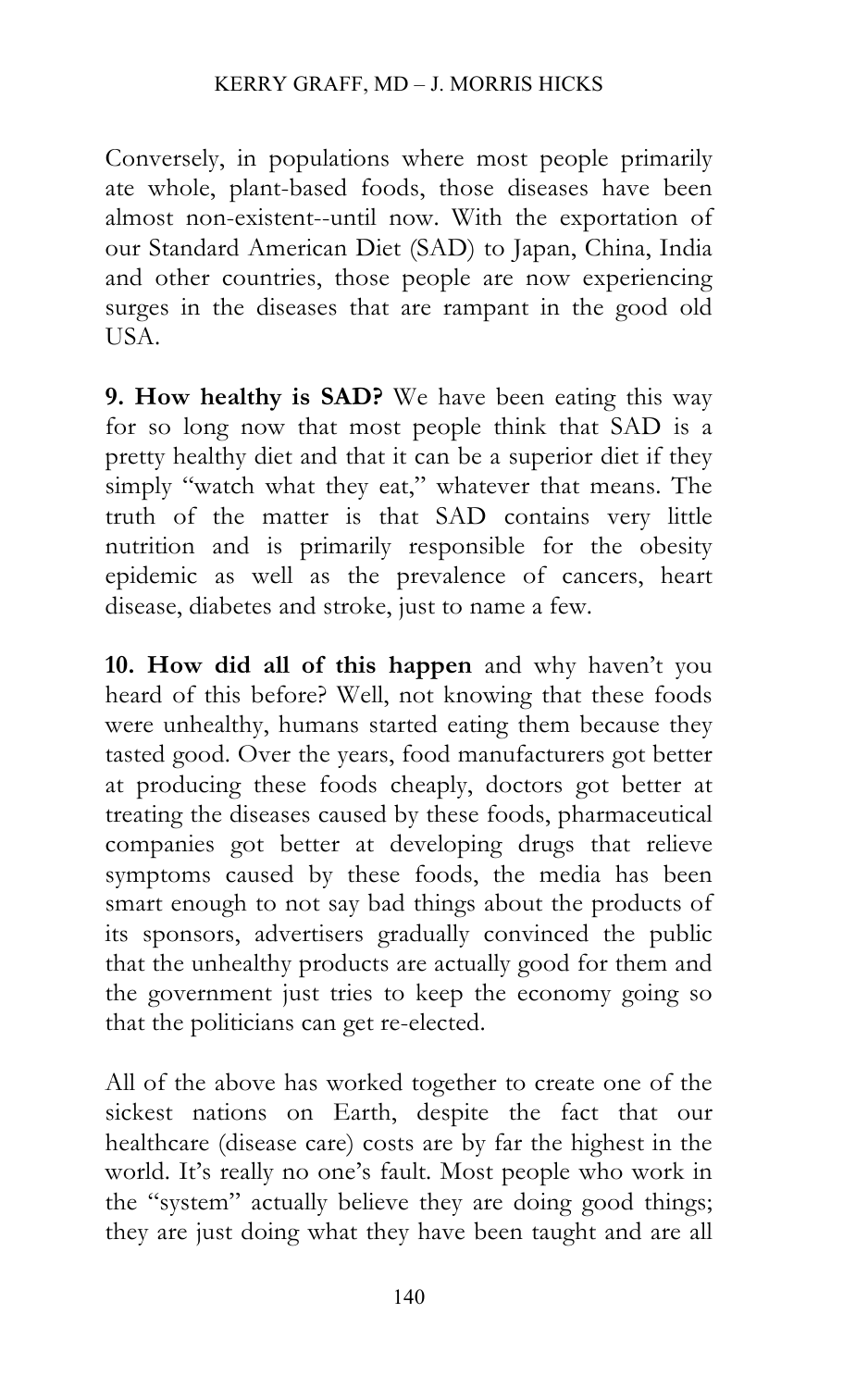Conversely, in populations where most people primarily ate whole, plant-based foods, those diseases have been almost non-existent--until now. With the exportation of our Standard American Diet (SAD) to Japan, China, India and other countries, those people are now experiencing surges in the diseases that are rampant in the good old USA.

**9. How healthy is SAD?** We have been eating this way for so long now that most people think that SAD is a pretty healthy diet and that it can be a superior diet if they simply "watch what they eat," whatever that means. The truth of the matter is that SAD contains very little nutrition and is primarily responsible for the obesity epidemic as well as the prevalence of cancers, heart disease, diabetes and stroke, just to name a few.

**10. How did all of this happen** and why haven't you heard of this before? Well, not knowing that these foods were unhealthy, humans started eating them because they tasted good. Over the years, food manufacturers got better at producing these foods cheaply, doctors got better at treating the diseases caused by these foods, pharmaceutical companies got better at developing drugs that relieve symptoms caused by these foods, the media has been smart enough to not say bad things about the products of its sponsors, advertisers gradually convinced the public that the unhealthy products are actually good for them and the government just tries to keep the economy going so that the politicians can get re-elected.

All of the above has worked together to create one of the sickest nations on Earth, despite the fact that our healthcare (disease care) costs are by far the highest in the world. It's really no one's fault. Most people who work in the "system" actually believe they are doing good things; they are just doing what they have been taught and are all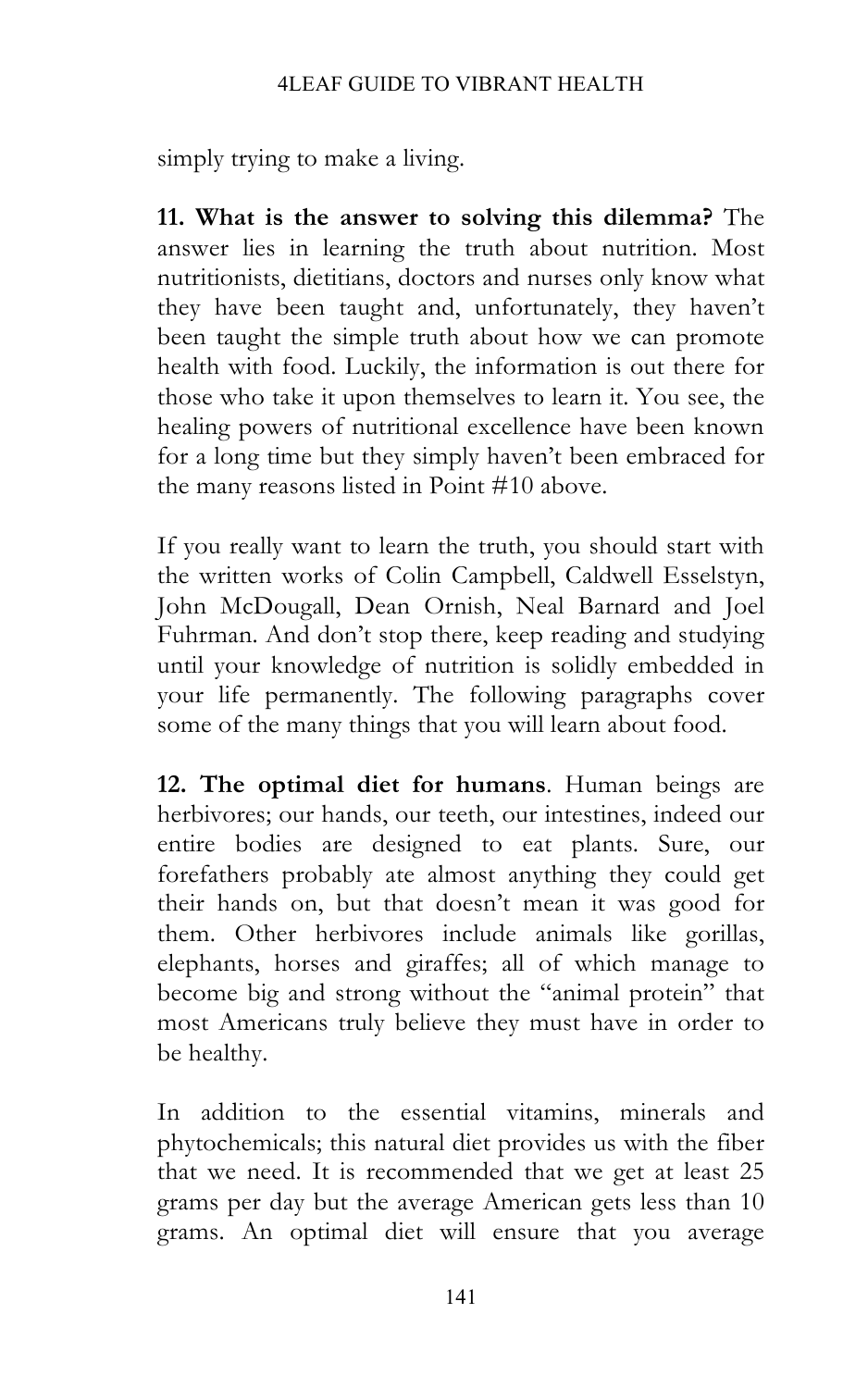### 4LEAF GUIDE TO VIBRANT HEALTH

simply trying to make a living.

**11. What is the answer to solving this dilemma?** The answer lies in learning the truth about nutrition. Most nutritionists, dietitians, doctors and nurses only know what they have been taught and, unfortunately, they haven't been taught the simple truth about how we can promote health with food. Luckily, the information is out there for those who take it upon themselves to learn it. You see, the healing powers of nutritional excellence have been known for a long time but they simply haven't been embraced for the many reasons listed in Point #10 above.

If you really want to learn the truth, you should start with the written works of Colin Campbell, Caldwell Esselstyn, John McDougall, Dean Ornish, Neal Barnard and Joel Fuhrman. And don't stop there, keep reading and studying until your knowledge of nutrition is solidly embedded in your life permanently. The following paragraphs cover some of the many things that you will learn about food.

**12. The optimal diet for humans**. Human beings are herbivores; our hands, our teeth, our intestines, indeed our entire bodies are designed to eat plants. Sure, our forefathers probably ate almost anything they could get their hands on, but that doesn't mean it was good for them. Other herbivores include animals like gorillas, elephants, horses and giraffes; all of which manage to become big and strong without the "animal protein" that most Americans truly believe they must have in order to be healthy.

In addition to the essential vitamins, minerals and phytochemicals; this natural diet provides us with the fiber that we need. It is recommended that we get at least 25 grams per day but the average American gets less than 10 grams. An optimal diet will ensure that you average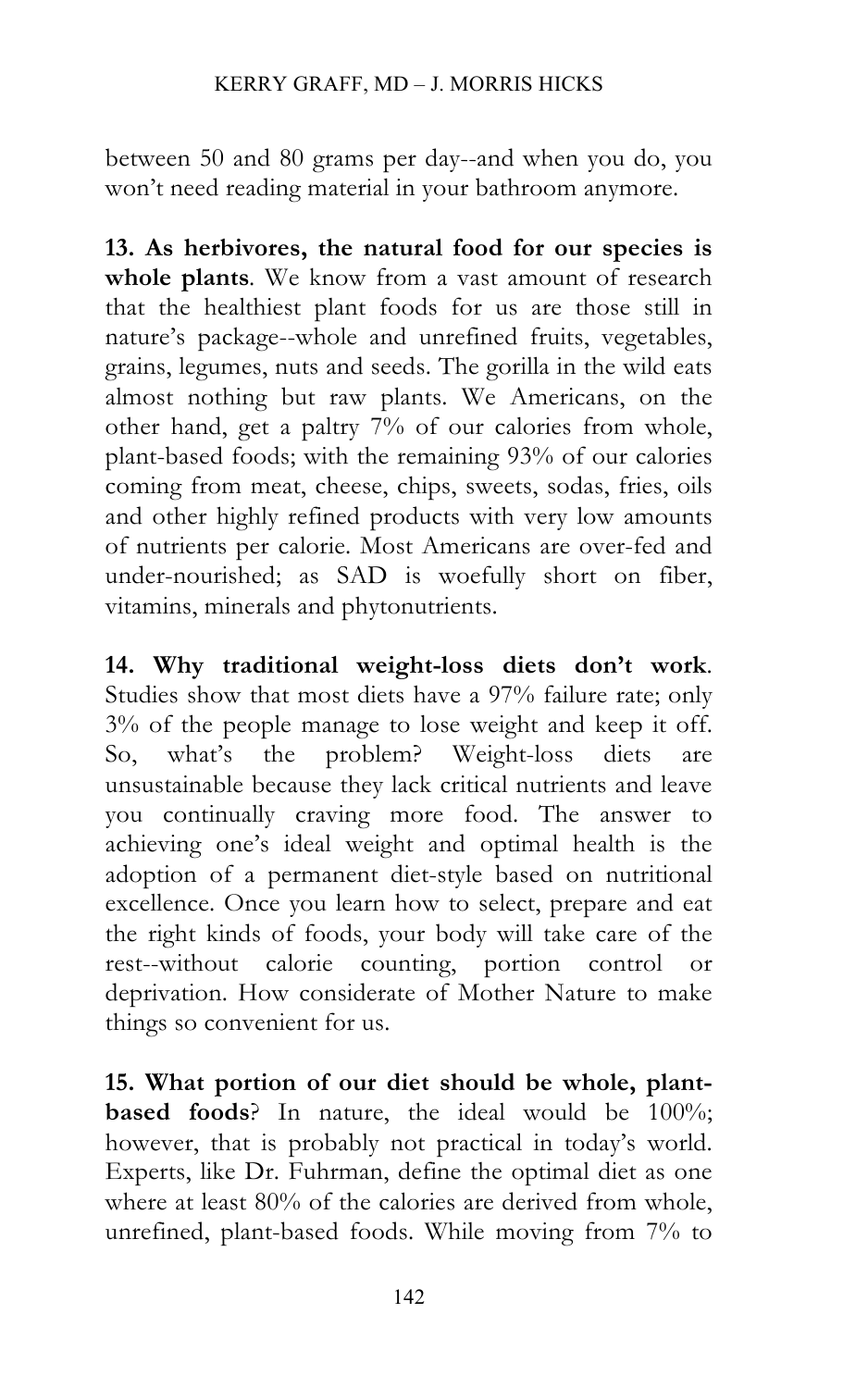between 50 and 80 grams per day--and when you do, you won't need reading material in your bathroom anymore.

**13. As herbivores, the natural food for our species is whole plants***.* We know from a vast amount of research that the healthiest plant foods for us are those still in nature's package--whole and unrefined fruits, vegetables, grains, legumes, nuts and seeds. The gorilla in the wild eats almost nothing but raw plants. We Americans, on the other hand, get a paltry 7% of our calories from whole, plant-based foods; with the remaining 93% of our calories coming from meat, cheese, chips, sweets, sodas, fries, oils and other highly refined products with very low amounts of nutrients per calorie. Most Americans are over-fed and under-nourished; as SAD is woefully short on fiber, vitamins, minerals and phytonutrients.

**14. Why traditional weight-loss diets don't work**. Studies show that most diets have a 97% failure rate; only 3% of the people manage to lose weight and keep it off. So, what's the problem? Weight-loss diets are unsustainable because they lack critical nutrients and leave you continually craving more food. The answer to achieving one's ideal weight and optimal health is the adoption of a permanent diet-style based on nutritional excellence. Once you learn how to select, prepare and eat the right kinds of foods, your body will take care of the rest--without calorie counting, portion control or deprivation. How considerate of Mother Nature to make things so convenient for us.

**15. What portion of our diet should be whole, plantbased foods**? In nature, the ideal would be 100%; however, that is probably not practical in today's world. Experts, like Dr. Fuhrman, define the optimal diet as one where at least 80% of the calories are derived from whole, unrefined, plant-based foods. While moving from 7% to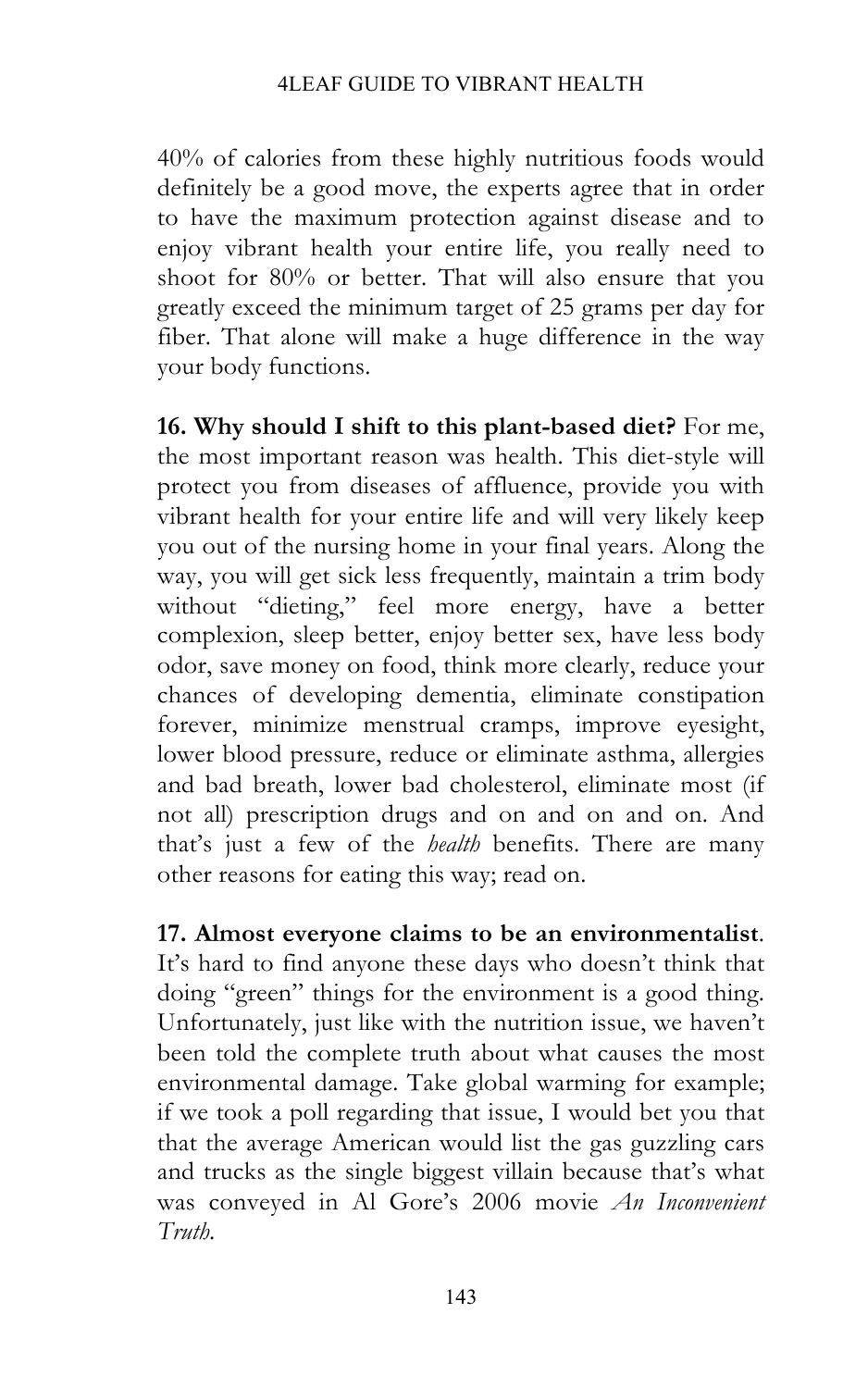40% of calories from these highly nutritious foods would definitely be a good move, the experts agree that in order to have the maximum protection against disease and to enjoy vibrant health your entire life, you really need to shoot for 80% or better. That will also ensure that you greatly exceed the minimum target of 25 grams per day for fiber. That alone will make a huge difference in the way your body functions.

**16. Why should I shift to this plant-based diet?** For me, the most important reason was health. This diet-style will protect you from diseases of affluence, provide you with vibrant health for your entire life and will very likely keep you out of the nursing home in your final years. Along the way, you will get sick less frequently, maintain a trim body without "dieting," feel more energy, have a better complexion, sleep better, enjoy better sex, have less body odor, save money on food, think more clearly, reduce your chances of developing dementia, eliminate constipation forever, minimize menstrual cramps, improve eyesight, lower blood pressure, reduce or eliminate asthma, allergies and bad breath, lower bad cholesterol, eliminate most (if not all) prescription drugs and on and on and on. And that's just a few of the *health* benefits. There are many other reasons for eating this way; read on.

**17. Almost everyone claims to be an environmentalist**. It's hard to find anyone these days who doesn't think that doing "green" things for the environment is a good thing. Unfortunately, just like with the nutrition issue, we haven't been told the complete truth about what causes the most environmental damage. Take global warming for example; if we took a poll regarding that issue, I would bet you that that the average American would list the gas guzzling cars and trucks as the single biggest villain because that's what was conveyed in Al Gore's 2006 movie *An Inconvenient Truth.*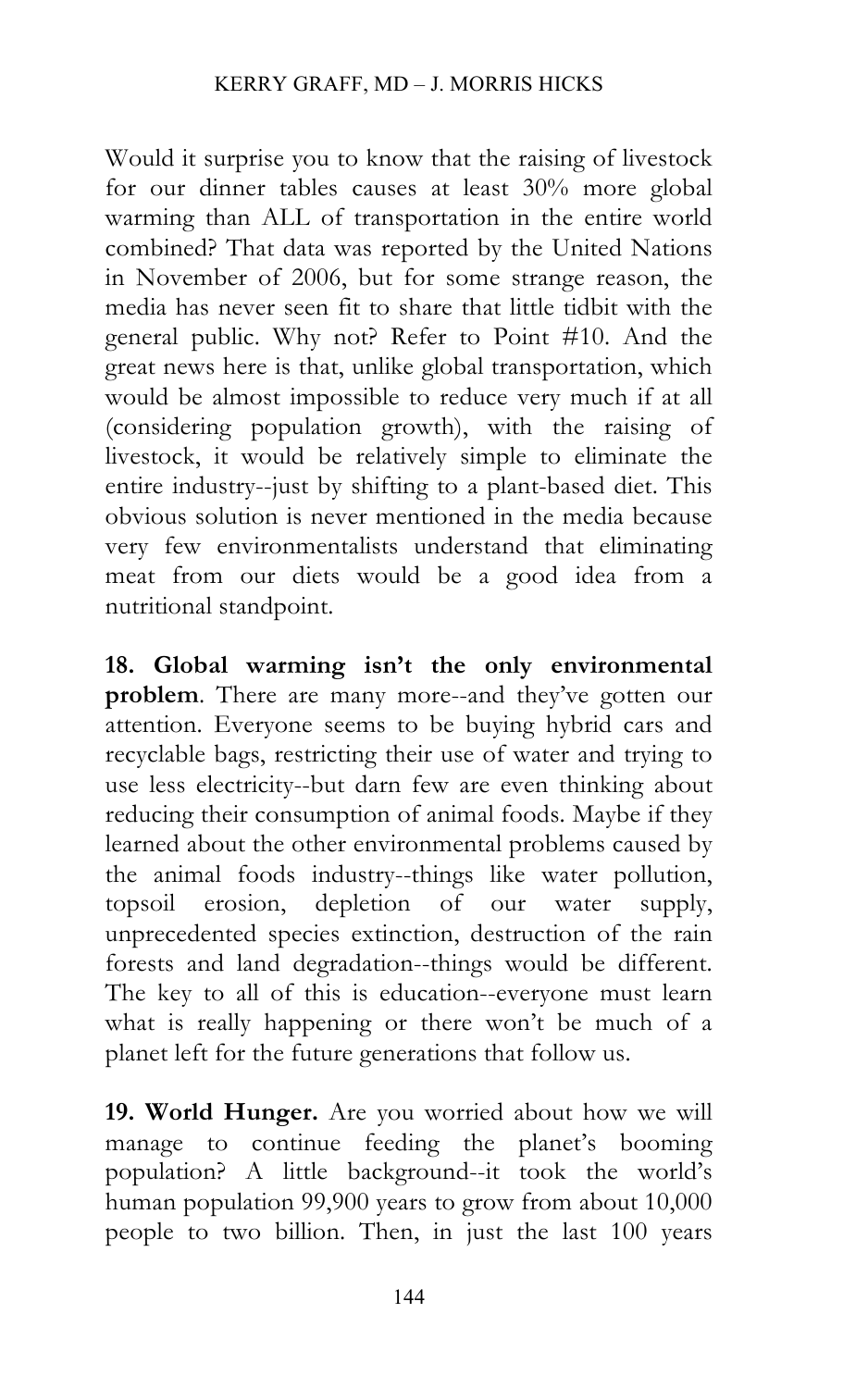Would it surprise you to know that the raising of livestock for our dinner tables causes at least 30% more global warming than ALL of transportation in the entire world combined? That data was reported by the United Nations in November of 2006, but for some strange reason, the media has never seen fit to share that little tidbit with the general public. Why not? Refer to Point #10. And the great news here is that, unlike global transportation, which would be almost impossible to reduce very much if at all (considering population growth), with the raising of livestock, it would be relatively simple to eliminate the entire industry--just by shifting to a plant-based diet. This obvious solution is never mentioned in the media because very few environmentalists understand that eliminating meat from our diets would be a good idea from a nutritional standpoint.

**18. Global warming isn't the only environmental**  problem. There are many more--and they've gotten our attention. Everyone seems to be buying hybrid cars and recyclable bags, restricting their use of water and trying to use less electricity--but darn few are even thinking about reducing their consumption of animal foods. Maybe if they learned about the other environmental problems caused by the animal foods industry--things like water pollution, topsoil erosion, depletion of our water supply, unprecedented species extinction, destruction of the rain forests and land degradation--things would be different. The key to all of this is education--everyone must learn what is really happening or there won't be much of a planet left for the future generations that follow us.

**19. World Hunger.** Are you worried about how we will manage to continue feeding the planet's booming population? A little background--it took the world's human population 99,900 years to grow from about 10,000 people to two billion. Then, in just the last 100 years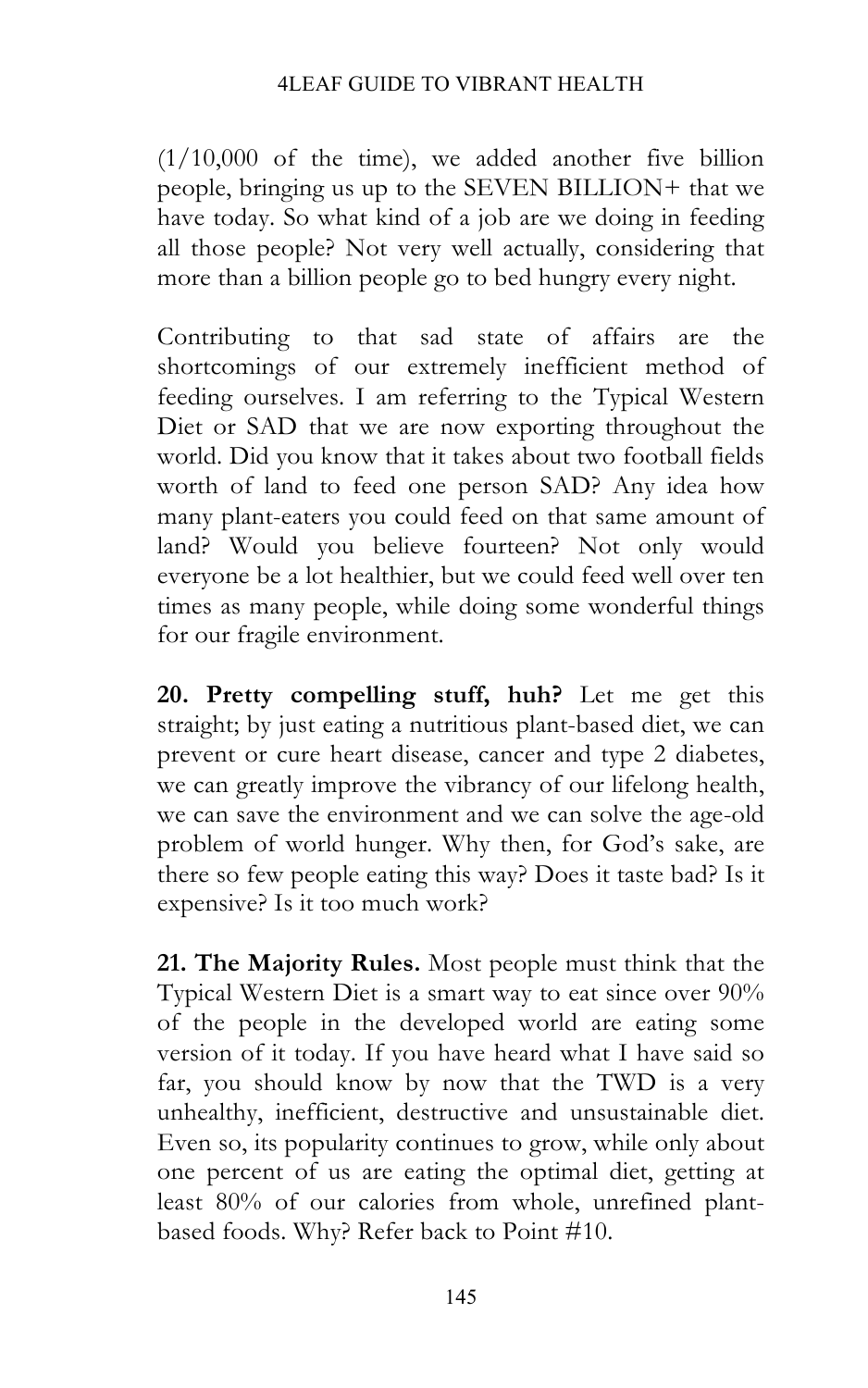#### 4LEAF GUIDE TO VIBRANT HEALTH

 $(1/10,000)$  of the time), we added another five billion people, bringing us up to the SEVEN BILLION+ that we have today. So what kind of a job are we doing in feeding all those people? Not very well actually, considering that more than a billion people go to bed hungry every night.

Contributing to that sad state of affairs are the shortcomings of our extremely inefficient method of feeding ourselves. I am referring to the Typical Western Diet or SAD that we are now exporting throughout the world. Did you know that it takes about two football fields worth of land to feed one person SAD? Any idea how many plant-eaters you could feed on that same amount of land? Would you believe fourteen? Not only would everyone be a lot healthier, but we could feed well over ten times as many people, while doing some wonderful things for our fragile environment.

**20. Pretty compelling stuff, huh?** Let me get this straight; by just eating a nutritious plant-based diet, we can prevent or cure heart disease, cancer and type 2 diabetes, we can greatly improve the vibrancy of our lifelong health, we can save the environment and we can solve the age-old problem of world hunger. Why then, for God's sake, are there so few people eating this way? Does it taste bad? Is it expensive? Is it too much work?

**21. The Majority Rules.** Most people must think that the Typical Western Diet is a smart way to eat since over 90% of the people in the developed world are eating some version of it today. If you have heard what I have said so far, you should know by now that the TWD is a very unhealthy, inefficient, destructive and unsustainable diet. Even so, its popularity continues to grow, while only about one percent of us are eating the optimal diet, getting at least 80% of our calories from whole, unrefined plantbased foods. Why? Refer back to Point #10.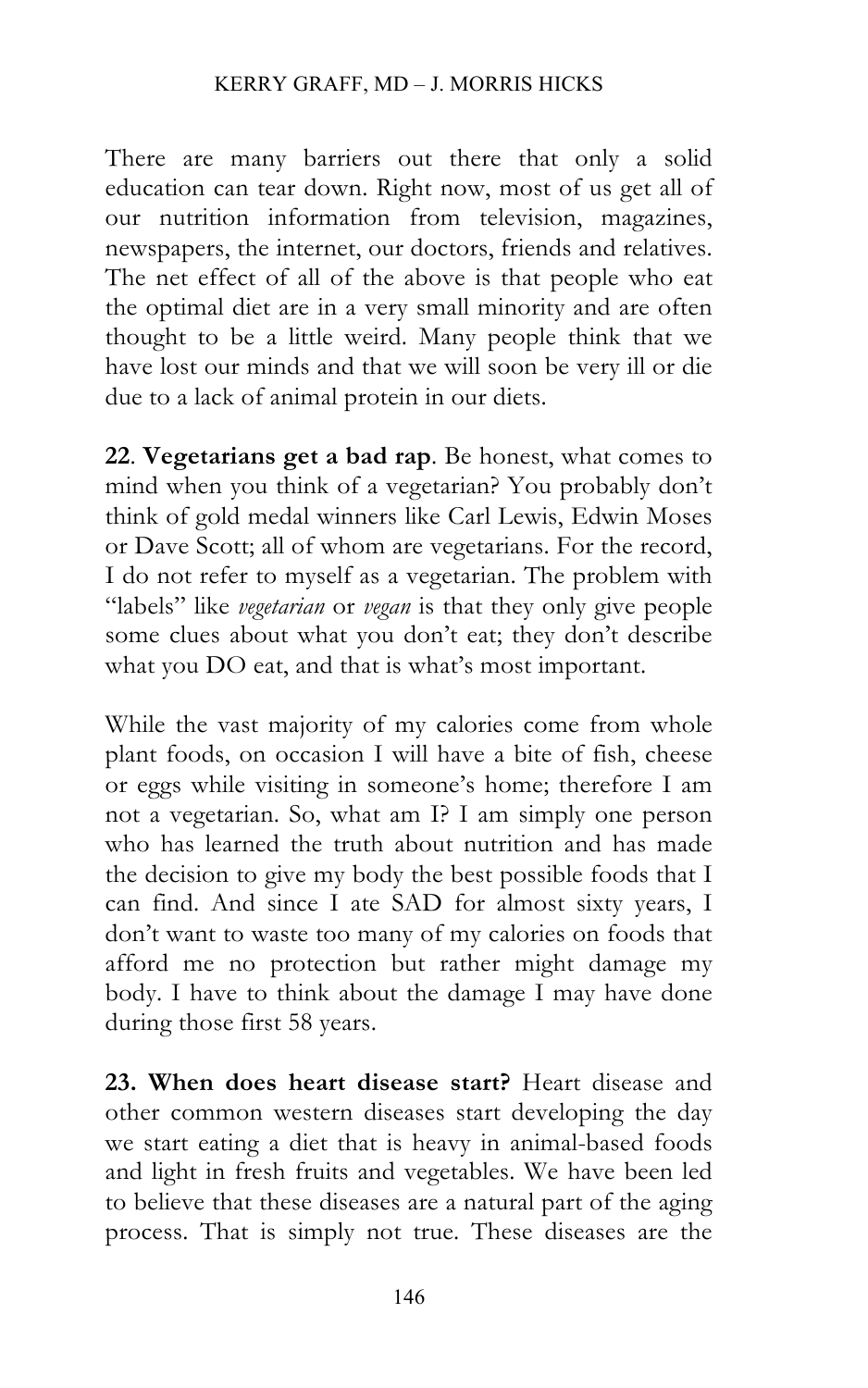There are many barriers out there that only a solid education can tear down. Right now, most of us get all of our nutrition information from television, magazines, newspapers, the internet, our doctors, friends and relatives. The net effect of all of the above is that people who eat the optimal diet are in a very small minority and are often thought to be a little weird. Many people think that we have lost our minds and that we will soon be very ill or die due to a lack of animal protein in our diets.

**22**. **Vegetarians get a bad rap**. Be honest, what comes to mind when you think of a vegetarian? You probably don't think of gold medal winners like Carl Lewis, Edwin Moses or Dave Scott; all of whom are vegetarians. For the record, I do not refer to myself as a vegetarian. The problem with "labels" like *vegetarian* or *vegan* is that they only give people some clues about what you don't eat; they don't describe what you DO eat, and that is what's most important.

While the vast majority of my calories come from whole plant foods, on occasion I will have a bite of fish, cheese or eggs while visiting in someone's home; therefore I am not a vegetarian. So, what am I? I am simply one person who has learned the truth about nutrition and has made the decision to give my body the best possible foods that I can find. And since I ate SAD for almost sixty years, I don't want to waste too many of my calories on foods that afford me no protection but rather might damage my body. I have to think about the damage I may have done during those first 58 years.

**23. When does heart disease start?** Heart disease and other common western diseases start developing the day we start eating a diet that is heavy in animal-based foods and light in fresh fruits and vegetables. We have been led to believe that these diseases are a natural part of the aging process. That is simply not true. These diseases are the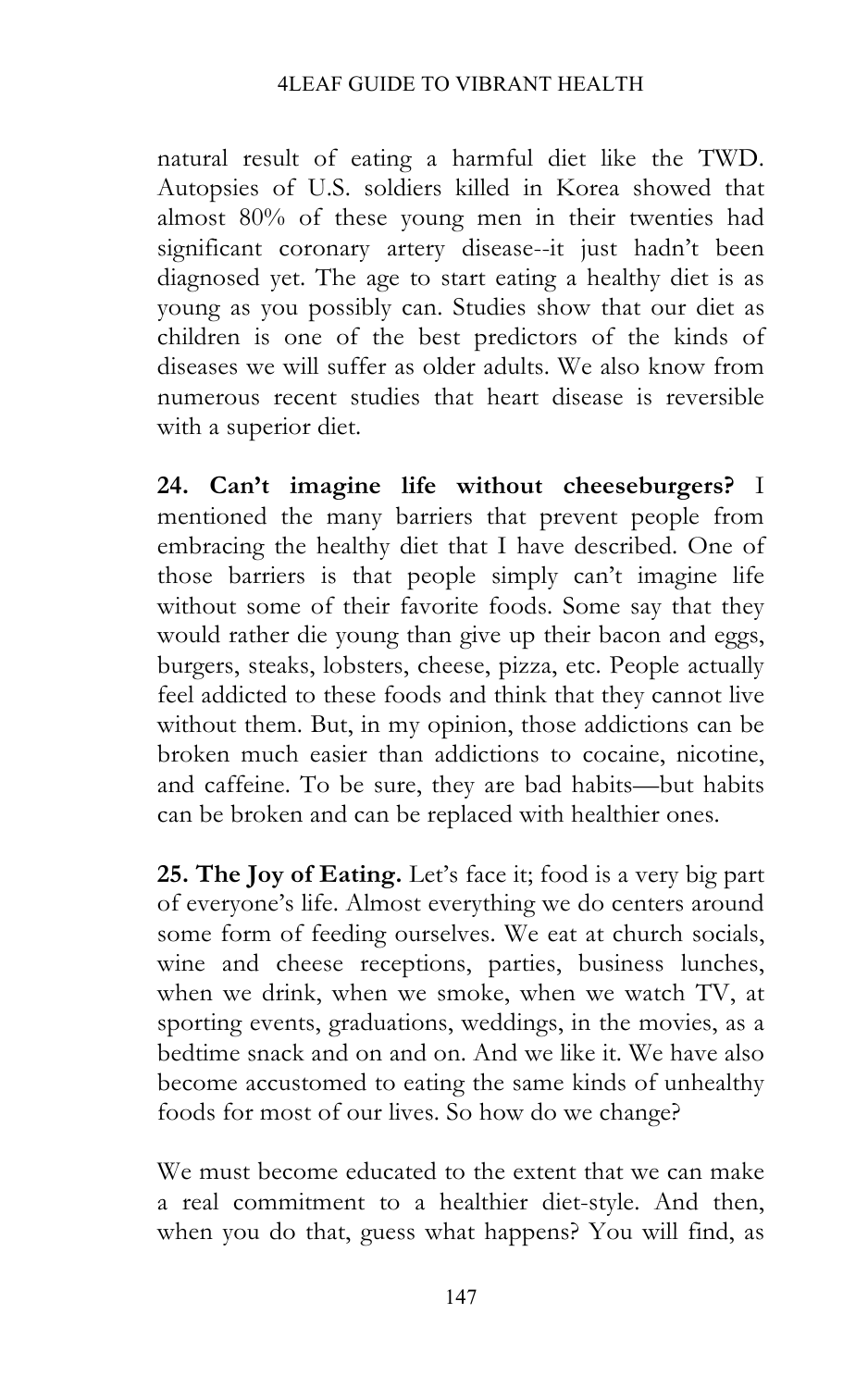natural result of eating a harmful diet like the TWD. Autopsies of U.S. soldiers killed in Korea showed that almost 80% of these young men in their twenties had significant coronary artery disease--it just hadn't been diagnosed yet. The age to start eating a healthy diet is as young as you possibly can. Studies show that our diet as children is one of the best predictors of the kinds of diseases we will suffer as older adults. We also know from numerous recent studies that heart disease is reversible with a superior diet.

**24. Can't imagine life without cheeseburgers?** I mentioned the many barriers that prevent people from embracing the healthy diet that I have described. One of those barriers is that people simply can't imagine life without some of their favorite foods. Some say that they would rather die young than give up their bacon and eggs, burgers, steaks, lobsters, cheese, pizza, etc. People actually feel addicted to these foods and think that they cannot live without them. But, in my opinion, those addictions can be broken much easier than addictions to cocaine, nicotine, and caffeine. To be sure, they are bad habits—but habits can be broken and can be replaced with healthier ones.

**25. The Joy of Eating.** Let's face it; food is a very big part of everyone's life. Almost everything we do centers around some form of feeding ourselves. We eat at church socials, wine and cheese receptions, parties, business lunches, when we drink, when we smoke, when we watch TV, at sporting events, graduations, weddings, in the movies, as a bedtime snack and on and on. And we like it. We have also become accustomed to eating the same kinds of unhealthy foods for most of our lives. So how do we change?

We must become educated to the extent that we can make a real commitment to a healthier diet-style. And then, when you do that, guess what happens? You will find, as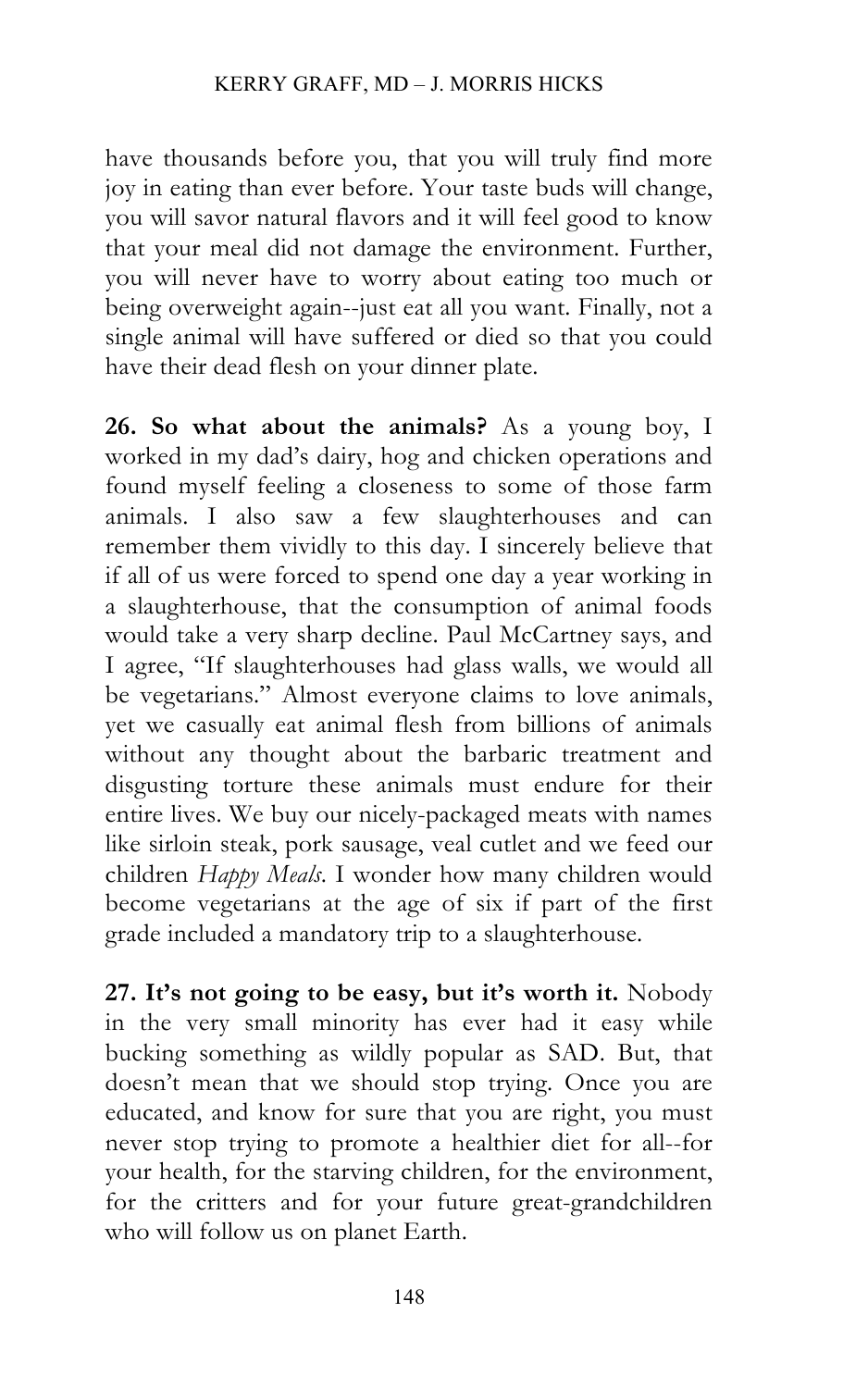have thousands before you, that you will truly find more joy in eating than ever before. Your taste buds will change, you will savor natural flavors and it will feel good to know that your meal did not damage the environment. Further, you will never have to worry about eating too much or being overweight again--just eat all you want. Finally, not a single animal will have suffered or died so that you could have their dead flesh on your dinner plate.

**26. So what about the animals?** As a young boy, I worked in my dad's dairy, hog and chicken operations and found myself feeling a closeness to some of those farm animals. I also saw a few slaughterhouses and can remember them vividly to this day. I sincerely believe that if all of us were forced to spend one day a year working in a slaughterhouse, that the consumption of animal foods would take a very sharp decline. Paul McCartney says, and I agree, "If slaughterhouses had glass walls, we would all be vegetarians." Almost everyone claims to love animals, yet we casually eat animal flesh from billions of animals without any thought about the barbaric treatment and disgusting torture these animals must endure for their entire lives. We buy our nicely-packaged meats with names like sirloin steak, pork sausage, veal cutlet and we feed our children *Happy Meals*. I wonder how many children would become vegetarians at the age of six if part of the first grade included a mandatory trip to a slaughterhouse.

**27. It's not going to be easy, but it's worth it.** Nobody in the very small minority has ever had it easy while bucking something as wildly popular as SAD. But, that doesn't mean that we should stop trying. Once you are educated, and know for sure that you are right, you must never stop trying to promote a healthier diet for all--for your health, for the starving children, for the environment, for the critters and for your future great-grandchildren who will follow us on planet Earth.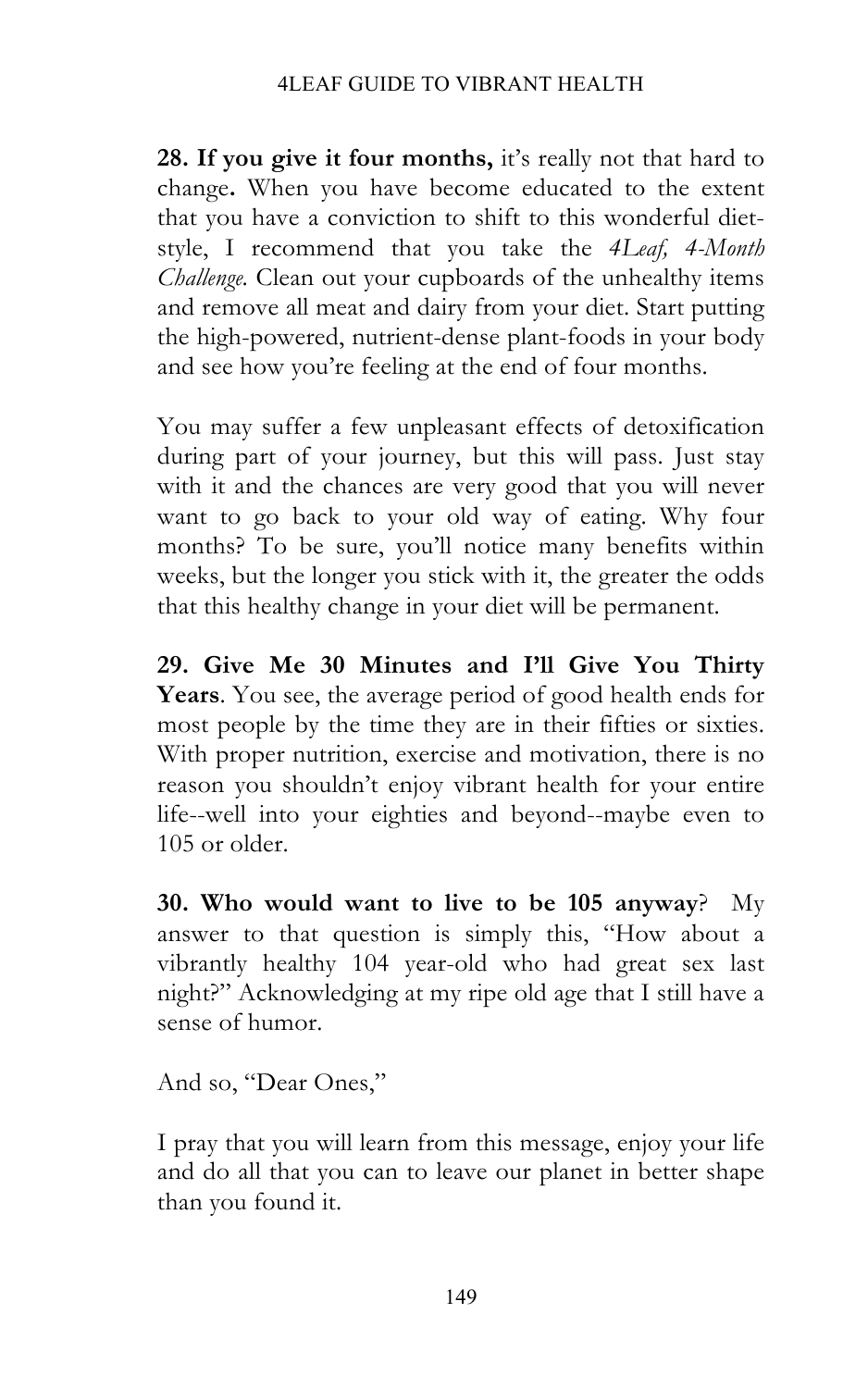**28. If you give it four months,** it's really not that hard to change**.** When you have become educated to the extent that you have a conviction to shift to this wonderful dietstyle, I recommend that you take the *4Leaf, 4-Month Challenge.* Clean out your cupboards of the unhealthy items and remove all meat and dairy from your diet. Start putting the high-powered, nutrient-dense plant-foods in your body and see how you're feeling at the end of four months.

You may suffer a few unpleasant effects of detoxification during part of your journey, but this will pass. Just stay with it and the chances are very good that you will never want to go back to your old way of eating. Why four months? To be sure, you'll notice many benefits within weeks, but the longer you stick with it, the greater the odds that this healthy change in your diet will be permanent.

**29. Give Me 30 Minutes and I'll Give You Thirty Years**. You see, the average period of good health ends for most people by the time they are in their fifties or sixties. With proper nutrition, exercise and motivation, there is no reason you shouldn't enjoy vibrant health for your entire life--well into your eighties and beyond--maybe even to 105 or older.

**30. Who would want to live to be 105 anyway**?My answer to that question is simply this, "How about a vibrantly healthy 104 year-old who had great sex last night?" Acknowledging at my ripe old age that I still have a sense of humor.

And so, "Dear Ones,"

I pray that you will learn from this message, enjoy your life and do all that you can to leave our planet in better shape than you found it.